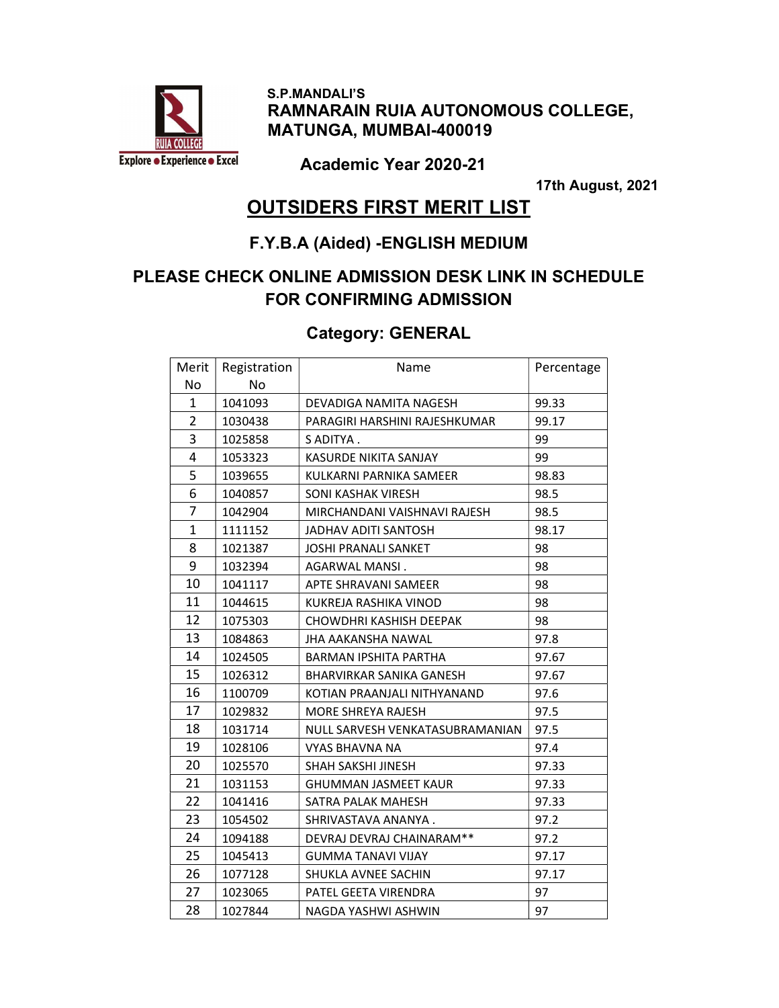

 S.P.MANDALI'S RAMNARAIN RUIA AUTONOMOUS COLLEGE, MATUNGA, MUMBAI-400019

Academic Year 2020-21

17th August, 2021

#### OUTSIDERS FIRST MERIT LIST

#### F.Y.B.A (Aided) -ENGLISH MEDIUM

#### PLEASE CHECK ONLINE ADMISSION DESK LINK IN SCHEDULE FOR CONFIRMING ADMISSION

#### Category: GENERAL

| Merit        | Registration | Name                            | Percentage |
|--------------|--------------|---------------------------------|------------|
| No           | No           |                                 |            |
| 1            | 1041093      | DEVADIGA NAMITA NAGESH          | 99.33      |
| 2            | 1030438      | PARAGIRI HARSHINI RAJESHKUMAR   | 99.17      |
| 3            | 1025858      | S ADITYA.                       | 99         |
| 4            | 1053323      | KASURDE NIKITA SANJAY           | 99         |
| 5            | 1039655      | KULKARNI PARNIKA SAMEER         | 98.83      |
| 6            | 1040857      | SONI KASHAK VIRESH              | 98.5       |
| 7            | 1042904      | MIRCHANDANI VAISHNAVI RAJESH    | 98.5       |
| $\mathbf{1}$ | 1111152      | <b>JADHAV ADITI SANTOSH</b>     | 98.17      |
| 8            | 1021387      | <b>JOSHI PRANALI SANKET</b>     | 98         |
| 9            | 1032394      | AGARWAL MANSI.                  | 98         |
| 10           | 1041117      | APTE SHRAVANI SAMEER            | 98         |
| 11           | 1044615      | KUKREJA RASHIKA VINOD           | 98         |
| 12           | 1075303      | CHOWDHRI KASHISH DEEPAK         | 98         |
| 13           | 1084863      | <b>JHA AAKANSHA NAWAL</b>       | 97.8       |
| 14           | 1024505      | BARMAN IPSHITA PARTHA           | 97.67      |
| 15           | 1026312      | BHARVIRKAR SANIKA GANESH        | 97.67      |
| 16           | 1100709      | KOTIAN PRAANJALI NITHYANAND     | 97.6       |
| 17           | 1029832      | <b>MORE SHREYA RAJESH</b>       | 97.5       |
| 18           | 1031714      | NULL SARVESH VENKATASUBRAMANIAN | 97.5       |
| 19           | 1028106      | VYAS BHAVNA NA                  | 97.4       |
| 20           | 1025570      | <b>SHAH SAKSHI JINESH</b>       | 97.33      |
| 21           | 1031153      | <b>GHUMMAN JASMEET KAUR</b>     | 97.33      |
| 22           | 1041416      | SATRA PALAK MAHESH              | 97.33      |
| 23           | 1054502      | SHRIVASTAVA ANANYA.             | 97.2       |
| 24           | 1094188      | DEVRAJ DEVRAJ CHAINARAM**       | 97.2       |
| 25           | 1045413      | <b>GUMMA TANAVI VIJAY</b>       | 97.17      |
| 26           | 1077128      | SHUKLA AVNEE SACHIN             | 97.17      |
| 27           | 1023065      | PATEL GEETA VIRENDRA            | 97         |
| 28           | 1027844      | NAGDA YASHWI ASHWIN             | 97         |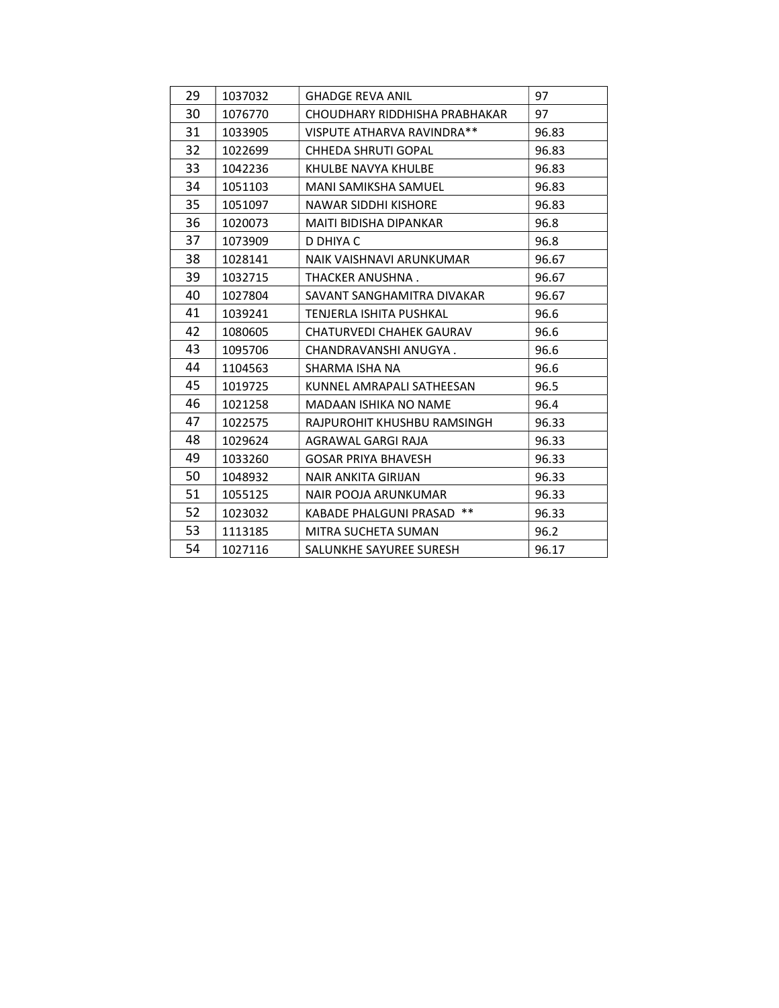| 29 | 1037032 | <b>GHADGE REVA ANIL</b>       | 97    |
|----|---------|-------------------------------|-------|
| 30 | 1076770 | CHOUDHARY RIDDHISHA PRABHAKAR | 97    |
| 31 | 1033905 | VISPUTE ATHARVA RAVINDRA**    | 96.83 |
| 32 | 1022699 | CHHEDA SHRUTI GOPAL           | 96.83 |
| 33 | 1042236 | KHULBE NAVYA KHULBE           | 96.83 |
| 34 | 1051103 | MANI SAMIKSHA SAMUEL          | 96.83 |
| 35 | 1051097 | NAWAR SIDDHI KISHORE          | 96.83 |
| 36 | 1020073 | MAITI BIDISHA DIPANKAR        | 96.8  |
| 37 | 1073909 | D DHIYA C                     | 96.8  |
| 38 | 1028141 | NAIK VAISHNAVI ARUNKUMAR      | 96.67 |
| 39 | 1032715 | THACKER ANUSHNA.              | 96.67 |
| 40 | 1027804 | SAVANT SANGHAMITRA DIVAKAR    | 96.67 |
| 41 | 1039241 | TENJERLA ISHITA PUSHKAL       | 96.6  |
| 42 | 1080605 | CHATURVEDI CHAHEK GAURAV      | 96.6  |
| 43 | 1095706 | CHANDRAVANSHI ANUGYA.         | 96.6  |
| 44 | 1104563 | SHARMA ISHA NA                | 96.6  |
| 45 | 1019725 | KUNNEL AMRAPALI SATHEESAN     | 96.5  |
| 46 | 1021258 | MADAAN ISHIKA NO NAME         | 96.4  |
| 47 | 1022575 | RAJPUROHIT KHUSHBU RAMSINGH   | 96.33 |
| 48 | 1029624 | AGRAWAL GARGI RAJA            | 96.33 |
| 49 | 1033260 | <b>GOSAR PRIYA BHAVESH</b>    | 96.33 |
| 50 | 1048932 | NAIR ANKITA GIRIJAN           | 96.33 |
| 51 | 1055125 | NAIR POOJA ARUNKUMAR          | 96.33 |
| 52 | 1023032 | KABADE PHALGUNI PRASAD **     | 96.33 |
| 53 | 1113185 | MITRA SUCHETA SUMAN           | 96.2  |
| 54 | 1027116 | SALUNKHE SAYUREE SURESH       | 96.17 |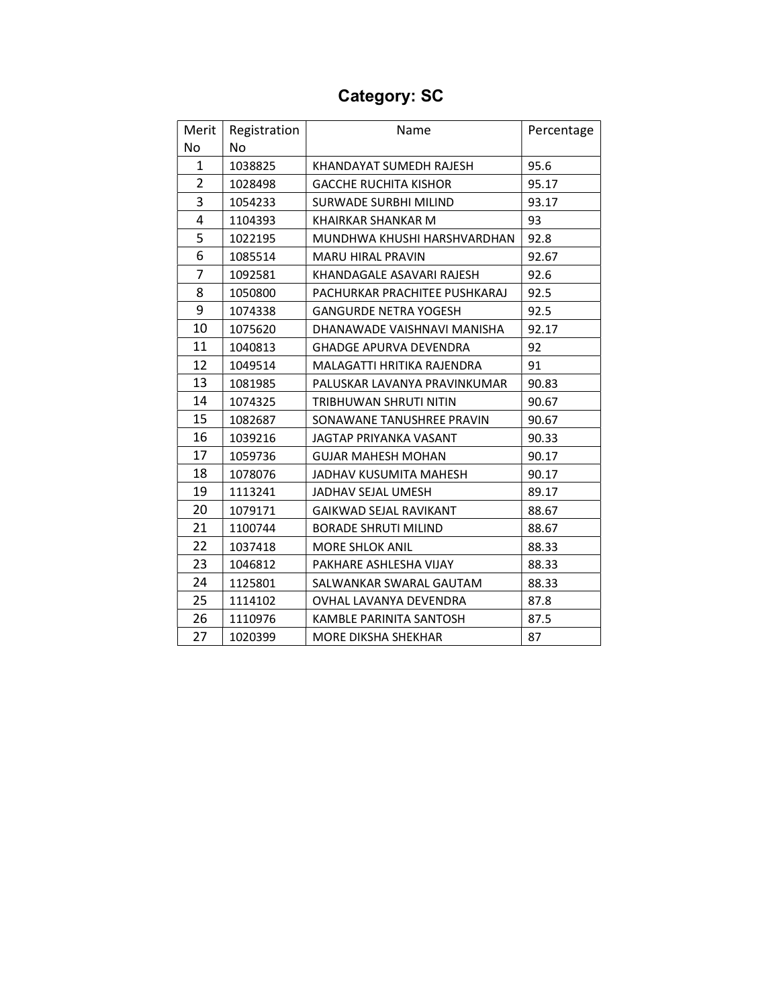# Category: SC

| Merit          | Registration | Name                          | Percentage |
|----------------|--------------|-------------------------------|------------|
| No             | <b>No</b>    |                               |            |
| 1              | 1038825      | KHANDAYAT SUMEDH RAJESH       | 95.6       |
| $\overline{2}$ | 1028498      | <b>GACCHE RUCHITA KISHOR</b>  | 95.17      |
| 3              | 1054233      | <b>SURWADE SURBHI MILIND</b>  | 93.17      |
| 4              | 1104393      | KHAIRKAR SHANKAR M            | 93         |
| 5              | 1022195      | MUNDHWA KHUSHI HARSHVARDHAN   | 92.8       |
| 6              | 1085514      | <b>MARU HIRAL PRAVIN</b>      | 92.67      |
| 7              | 1092581      | KHANDAGALE ASAVARI RAJESH     | 92.6       |
| 8              | 1050800      | PACHURKAR PRACHITEE PUSHKARAJ | 92.5       |
| 9              | 1074338      | <b>GANGURDE NETRA YOGESH</b>  | 92.5       |
| 10             | 1075620      | DHANAWADE VAISHNAVI MANISHA   | 92.17      |
| 11             | 1040813      | <b>GHADGE APURVA DEVENDRA</b> | 92         |
| 12             | 1049514      | MALAGATTI HRITIKA RAJENDRA    | 91         |
| 13             | 1081985      | PALUSKAR LAVANYA PRAVINKUMAR  | 90.83      |
| 14             | 1074325      | <b>TRIBHUWAN SHRUTI NITIN</b> | 90.67      |
| 15             | 1082687      | SONAWANE TANUSHREE PRAVIN     | 90.67      |
| 16             | 1039216      | <b>JAGTAP PRIYANKA VASANT</b> | 90.33      |
| 17             | 1059736      | <b>GUJAR MAHESH MOHAN</b>     | 90.17      |
| 18             | 1078076      | JADHAV KUSUMITA MAHESH        | 90.17      |
| 19             | 1113241      | JADHAV SEJAL UMESH            | 89.17      |
| 20             | 1079171      | <b>GAIKWAD SEJAL RAVIKANT</b> | 88.67      |
| 21             | 1100744      | <b>BORADE SHRUTI MILIND</b>   | 88.67      |
| 22             | 1037418      | <b>MORE SHLOK ANIL</b>        | 88.33      |
| 23             | 1046812      | PAKHARE ASHLESHA VIJAY        | 88.33      |
| 24             | 1125801      | SALWANKAR SWARAL GAUTAM       | 88.33      |
| 25             | 1114102      | OVHAL LAVANYA DEVENDRA        | 87.8       |
| 26             | 1110976      | KAMBLE PARINITA SANTOSH       | 87.5       |
| 27             | 1020399      | <b>MORE DIKSHA SHEKHAR</b>    | 87         |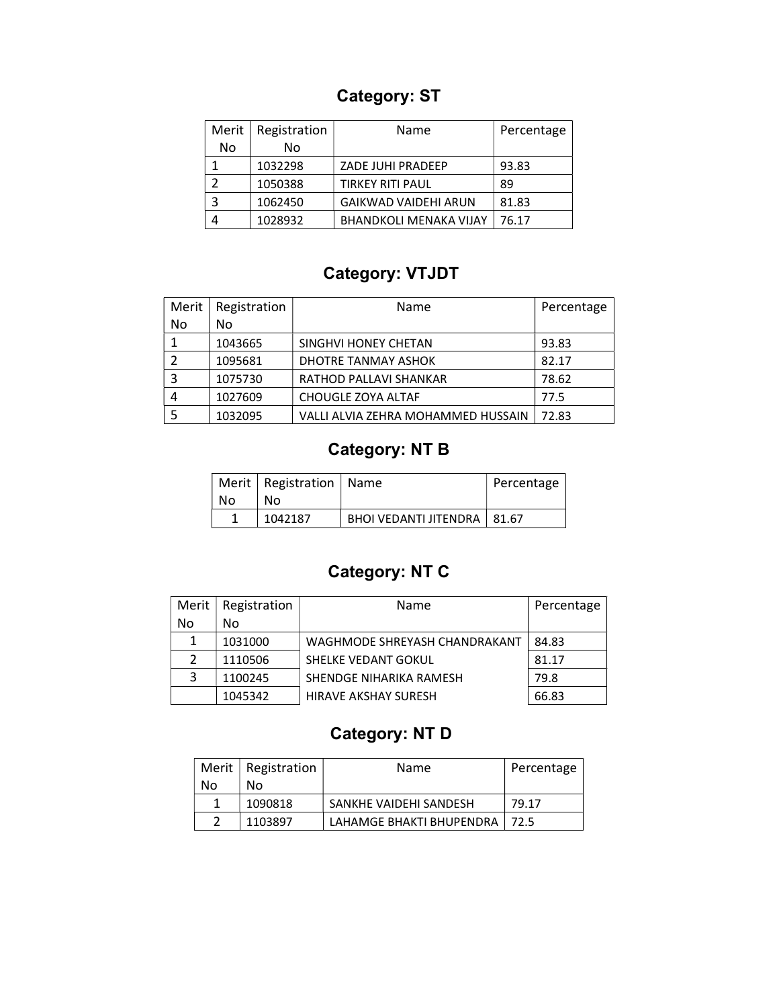### Category: ST

| Merit | Registration | Name                          | Percentage |
|-------|--------------|-------------------------------|------------|
| No    | Nο           |                               |            |
|       | 1032298      | ZADE JUHI PRADEEP             | 93.83      |
|       | 1050388      | <b>TIRKEY RITI PAUL</b>       | 89         |
|       | 1062450      | <b>GAIKWAD VAIDEHI ARUN</b>   | 81.83      |
|       | 1028932      | <b>BHANDKOLI MENAKA VIJAY</b> | 76.17      |

#### Category: VTJDT

| Merit | Registration | Name                               | Percentage |
|-------|--------------|------------------------------------|------------|
| No    | No           |                                    |            |
|       | 1043665      | SINGHVI HONEY CHETAN               | 93.83      |
|       | 1095681      | DHOTRE TANMAY ASHOK                | 82.17      |
|       | 1075730      | RATHOD PALLAVI SHANKAR             | 78.62      |
|       | 1027609      | CHOUGLE ZOYA ALTAF                 | 77.5       |
|       | 1032095      | VALLI ALVIA ZEHRA MOHAMMED HUSSAIN | 72.83      |

# Category: NT B

|    | Merit   Registration   Name |                               | Percentage |
|----|-----------------------------|-------------------------------|------------|
| No | No.                         |                               |            |
|    | 1042187                     | BHOI VEDANTI JITENDRA   81.67 |            |

### Category: NT C

| Merit | Registration | Name                          | Percentage |
|-------|--------------|-------------------------------|------------|
| No    | No           |                               |            |
| 1     | 1031000      | WAGHMODE SHREYASH CHANDRAKANT | 84.83      |
| 2     | 1110506      | SHELKE VEDANT GOKUL           | 81.17      |
| 3     | 1100245      | SHENDGE NIHARIKA RAMESH       | 79.8       |
|       | 1045342      | <b>HIRAVE AKSHAY SURESH</b>   | 66.83      |

### Category: NT D

|    | Merit   Registration | <b>Name</b>                     | Percentage |
|----|----------------------|---------------------------------|------------|
| Nο | Nο                   |                                 |            |
|    | 1090818              | SANKHE VAIDEHI SANDESH          | 79.17      |
|    | 1103897              | LAHAMGE BHAKTI BHUPENDRA   72.5 |            |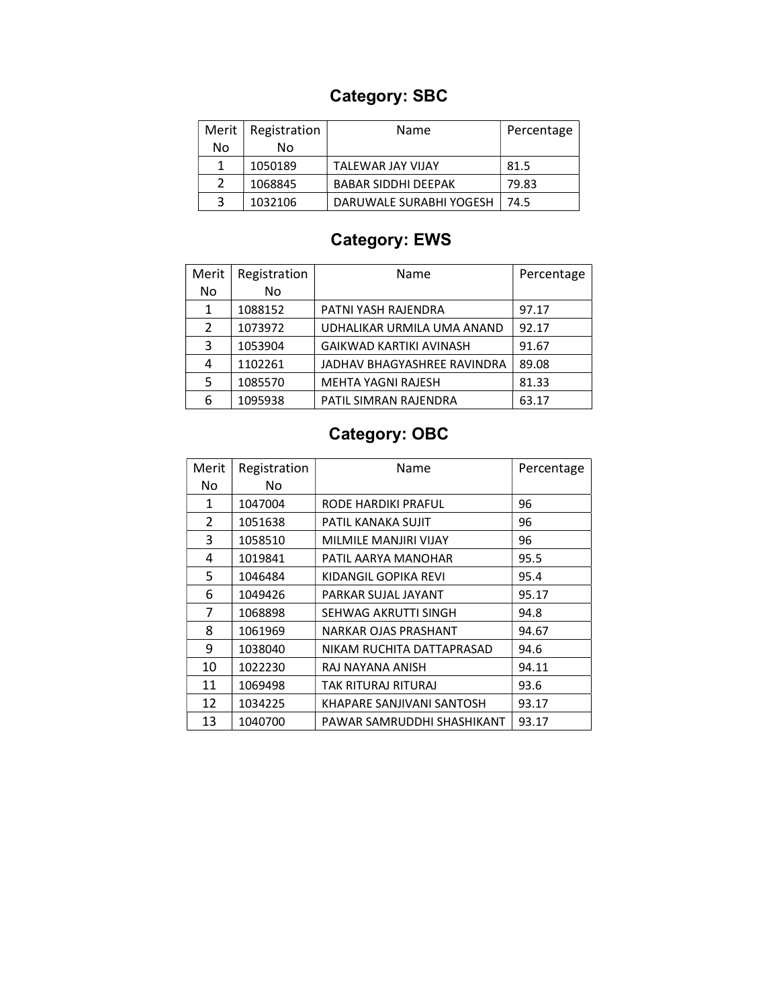# Category: SBC

| Merit $ $     | Registration | Name                       | Percentage |
|---------------|--------------|----------------------------|------------|
| No            | N٥           |                            |            |
|               | 1050189      | TALEWAR JAY VIJAY          | 81.5       |
| $\mathcal{P}$ | 1068845      | <b>BABAR SIDDHI DEEPAK</b> | 79.83      |
|               | 1032106      | DARUWALE SURABHI YOGESH    | 74.5       |

# Category: EWS

| Merit | Registration | Name                           | Percentage |
|-------|--------------|--------------------------------|------------|
| No    | No           |                                |            |
| 1     | 1088152      | PATNI YASH RAJENDRA            | 97.17      |
| 2     | 1073972      | UDHALIKAR URMILA UMA ANAND     | 92.17      |
| 3     | 1053904      | <b>GAIKWAD KARTIKI AVINASH</b> | 91.67      |
| 4     | 1102261      | JADHAV BHAGYASHREE RAVINDRA    | 89.08      |
| 5     | 1085570      | <b>MEHTA YAGNI RAJESH</b>      | 81.33      |
| 6     | 1095938      | PATIL SIMRAN RAJENDRA          | 63.17      |

# Category: OBC

| Merit          | Registration | Name                       | Percentage |
|----------------|--------------|----------------------------|------------|
| No             | No.          |                            |            |
| 1              | 1047004      | RODE HARDIKI PRAFUL        | 96         |
| $\overline{2}$ | 1051638      | PATIL KANAKA SUJIT         | 96         |
| 3              | 1058510      | MILMILE MANJIRI VIJAY      | 96         |
| 4              | 1019841      | PATIL AARYA MANOHAR        | 95.5       |
| 5              | 1046484      | KIDANGIL GOPIKA REVI       | 95.4       |
| 6              | 1049426      | PARKAR SUJAL JAYANT        | 95.17      |
| 7              | 1068898      | SEHWAG AKRUTTI SINGH       | 94.8       |
| 8              | 1061969      | NARKAR OJAS PRASHANT       | 94.67      |
| 9              | 1038040      | NIKAM RUCHITA DATTAPRASAD  | 94.6       |
| 10             | 1022230      | RAJ NAYANA ANISH           | 94.11      |
| 11             | 1069498      | TAK RITURAJ RITURAJ        | 93.6       |
| 12             | 1034225      | KHAPARE SANJIVANI SANTOSH  | 93.17      |
| 13             | 1040700      | PAWAR SAMRUDDHI SHASHIKANT | 93.17      |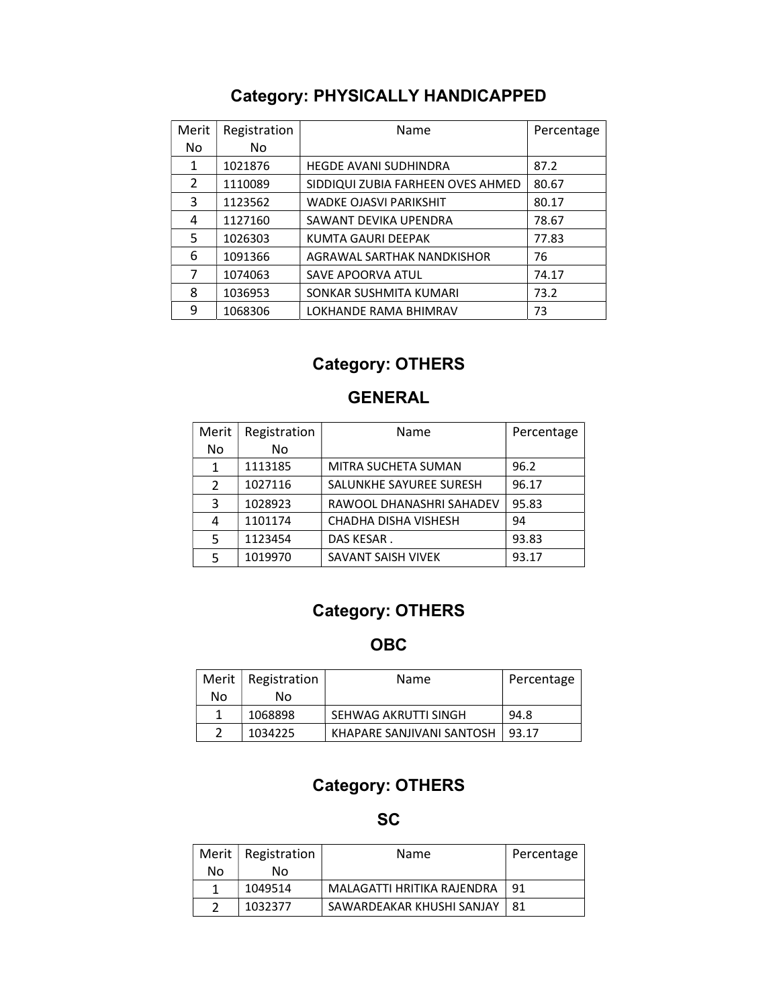### Category: PHYSICALLY HANDICAPPED

| Merit | Registration | Name                              | Percentage |
|-------|--------------|-----------------------------------|------------|
| No    | No.          |                                   |            |
| 1     | 1021876      | <b>HEGDE AVANI SUDHINDRA</b>      | 87.2       |
| 2     | 1110089      | SIDDIQUI ZUBIA FARHEEN OVES AHMED | 80.67      |
| 3     | 1123562      | WADKE OJASVI PARIKSHIT            | 80.17      |
| 4     | 1127160      | SAWANT DEVIKA UPENDRA             | 78.67      |
| 5     | 1026303      | KUMTA GAURI DEEPAK                | 77.83      |
| 6     | 1091366      | AGRAWAL SARTHAK NANDKISHOR        | 76         |
| 7     | 1074063      | <b>SAVE APOORVA ATUL</b>          | 74.17      |
| 8     | 1036953      | SONKAR SUSHMITA KUMARI            | 73.2       |
| 9     | 1068306      | LOKHANDE RAMA BHIMRAV             | 73         |

#### Category: OTHERS

#### GENERAL

| Merit         | Registration | Name                       | Percentage |
|---------------|--------------|----------------------------|------------|
| No            | No.          |                            |            |
| 1             | 1113185      | <b>MITRA SUCHETA SUMAN</b> | 96.2       |
| $\mathcal{P}$ | 1027116      | SALUNKHE SAYUREE SURESH    | 96.17      |
| 3             | 1028923      | RAWOOL DHANASHRI SAHADEV   | 95.83      |
| 4             | 1101174      | CHADHA DISHA VISHESH       | 94         |
| 5             | 1123454      | DAS KESAR.                 | 93.83      |
| 5             | 1019970      | SAVANT SAISH VIVEK         | 93.17      |

### Category: OTHERS

#### OBC

|    | Merit   Registration | Name                      | Percentage |
|----|----------------------|---------------------------|------------|
| Nο | N٥                   |                           |            |
|    | 1068898              | SEHWAG AKRUTTI SINGH      | 94.8       |
|    | 1034225              | KHAPARE SANJIVANI SANTOSH | 93.17      |

#### Category: OTHERS

**SC** 

|    | Merit   Registration | Name                       | Percentage |
|----|----------------------|----------------------------|------------|
| No | Nο                   |                            |            |
|    | 1049514              | MALAGATTI HRITIKA RAJENDRA | 91         |
| っ  | 1032377              | SAWARDEAKAR KHUSHI SANJAY  | 81         |